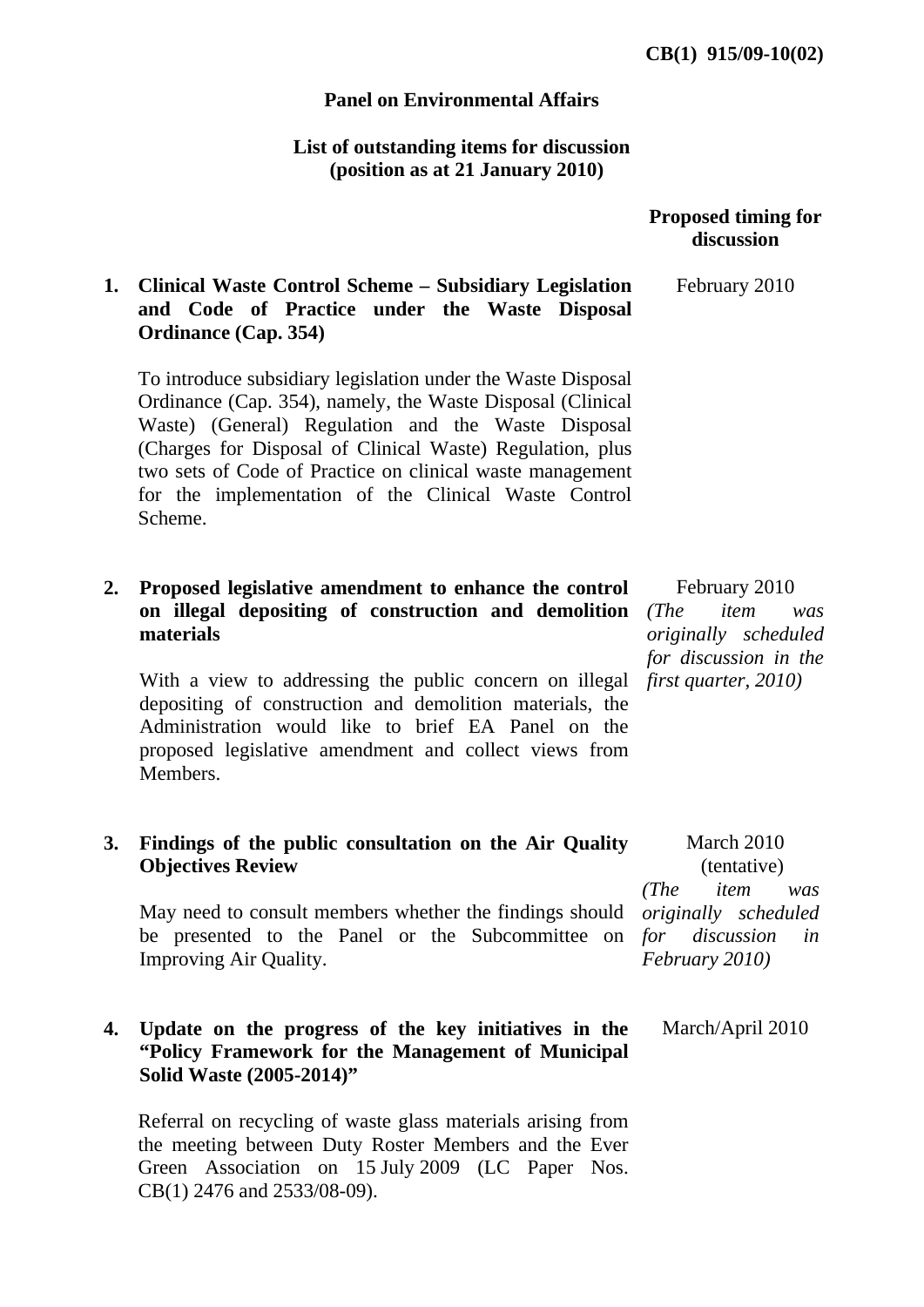## **Panel on Environmental Affairs**

## **List of outstanding items for discussion (position as at 21 January 2010)**

|           |                                                                                                                                                                                                                                                                                                                                                                               | <b>Proposed timing for</b><br>discussion                                              |
|-----------|-------------------------------------------------------------------------------------------------------------------------------------------------------------------------------------------------------------------------------------------------------------------------------------------------------------------------------------------------------------------------------|---------------------------------------------------------------------------------------|
| 1.        | <b>Clinical Waste Control Scheme – Subsidiary Legislation</b><br>and Code of Practice under the Waste Disposal<br><b>Ordinance (Cap. 354)</b>                                                                                                                                                                                                                                 | February 2010                                                                         |
|           | To introduce subsidiary legislation under the Waste Disposal<br>Ordinance (Cap. 354), namely, the Waste Disposal (Clinical<br>Waste) (General) Regulation and the Waste Disposal<br>(Charges for Disposal of Clinical Waste) Regulation, plus<br>two sets of Code of Practice on clinical waste management<br>for the implementation of the Clinical Waste Control<br>Scheme. |                                                                                       |
| 2.        | Proposed legislative amendment to enhance the control<br>on illegal depositing of construction and demolition<br>materials                                                                                                                                                                                                                                                    | February 2010<br>(The<br>item<br>was<br>originally scheduled<br>for discussion in the |
|           | With a view to addressing the public concern on illegal<br>depositing of construction and demolition materials, the<br>Administration would like to brief EA Panel on the<br>proposed legislative amendment and collect views from<br>Members.                                                                                                                                | first quarter, 2010)                                                                  |
| <b>3.</b> | Findings of the public consultation on the Air Quality<br><b>Objectives Review</b>                                                                                                                                                                                                                                                                                            | March 2010<br>(tentative)<br>(The<br>item                                             |
|           | May need to consult members whether the findings should <i>originally scheduled</i><br>be presented to the Panel or the Subcommittee on for discussion<br>Improving Air Quality.                                                                                                                                                                                              | was<br>in<br>February 2010)                                                           |
| 4.        | Update on the progress of the key initiatives in the<br>"Policy Framework for the Management of Municipal<br>Solid Waste (2005-2014)"                                                                                                                                                                                                                                         | March/April 2010                                                                      |
|           | Referral on recycling of waste glass materials arising from<br>the meeting between Duty Roster Members and the Ever<br>Green Association on 15 July 2009 (LC Paper Nos.<br>$CB(1)$ 2476 and 2533/08-09).                                                                                                                                                                      |                                                                                       |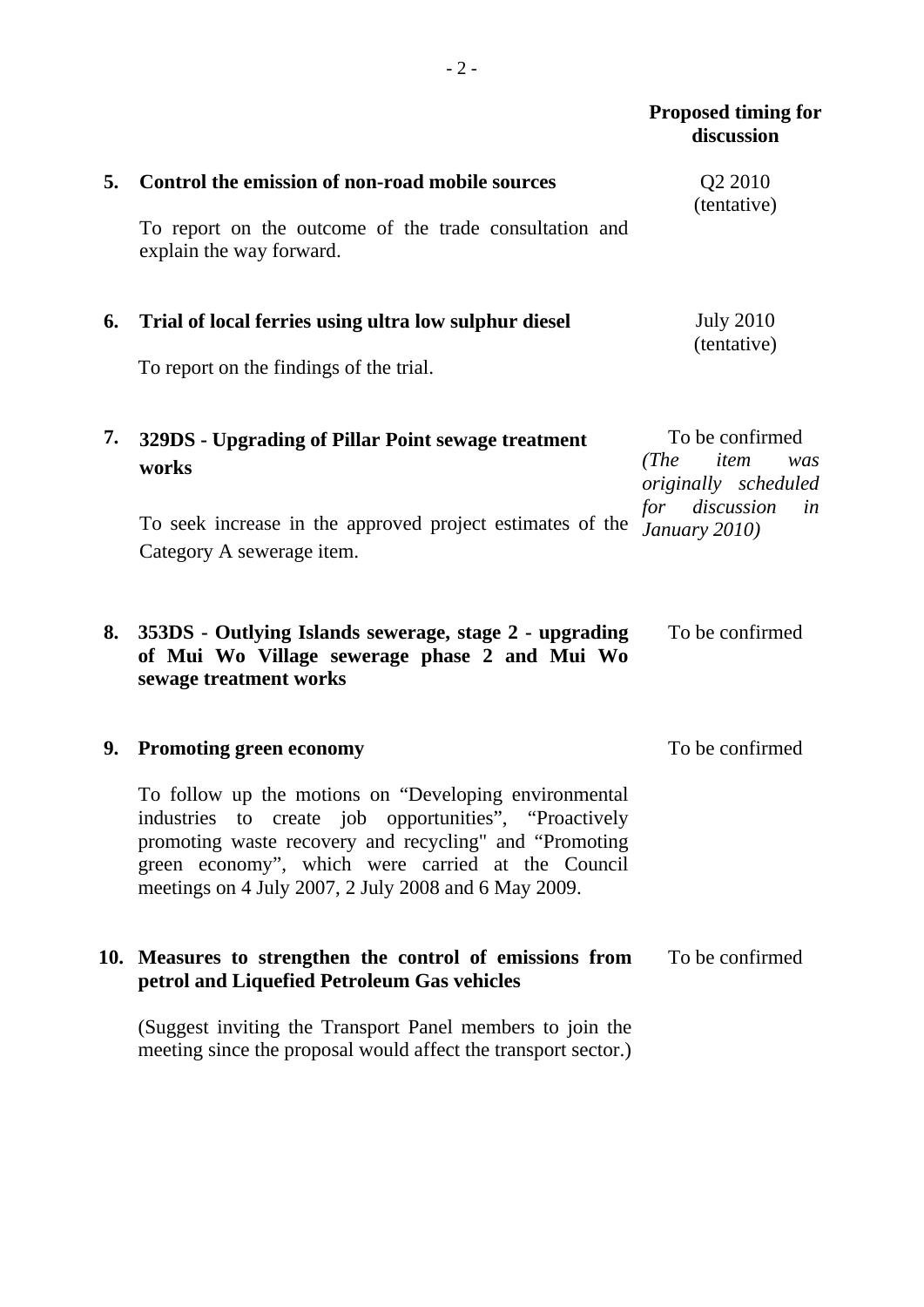|    |                                                                                                                                                                                                                                                                                       | <b>Proposed timing for</b><br>discussion                       |
|----|---------------------------------------------------------------------------------------------------------------------------------------------------------------------------------------------------------------------------------------------------------------------------------------|----------------------------------------------------------------|
| 5. | Control the emission of non-road mobile sources                                                                                                                                                                                                                                       | Q <sub>2</sub> 2010<br>(tentative)                             |
|    | To report on the outcome of the trade consultation and<br>explain the way forward.                                                                                                                                                                                                    |                                                                |
| 6. | Trial of local ferries using ultra low sulphur diesel                                                                                                                                                                                                                                 | <b>July 2010</b><br>(tentative)                                |
|    | To report on the findings of the trial.                                                                                                                                                                                                                                               |                                                                |
| 7. | 329DS - Upgrading of Pillar Point sewage treatment<br>works                                                                                                                                                                                                                           | To be confirmed<br>(The<br>item<br>was<br>originally scheduled |
|    | To seek increase in the approved project estimates of the<br>Category A sewerage item.                                                                                                                                                                                                | discussion<br>for<br>in<br>January 2010)                       |
| 8. | 353DS - Outlying Islands sewerage, stage 2 - upgrading<br>of Mui Wo Village sewerage phase 2 and Mui Wo<br>sewage treatment works                                                                                                                                                     | To be confirmed                                                |
| 9. | <b>Promoting green economy</b>                                                                                                                                                                                                                                                        | To be confirmed                                                |
|    | To follow up the motions on "Developing environmental<br>industries to create job opportunities", "Proactively<br>promoting waste recovery and recycling" and "Promoting<br>green economy", which were carried at the Council<br>meetings on 4 July 2007, 2 July 2008 and 6 May 2009. |                                                                |
|    | 10. Measures to strengthen the control of emissions from<br>petrol and Liquefied Petroleum Gas vehicles                                                                                                                                                                               | To be confirmed                                                |
|    |                                                                                                                                                                                                                                                                                       |                                                                |

(Suggest inviting the Transport Panel members to join the meeting since the proposal would affect the transport sector.)